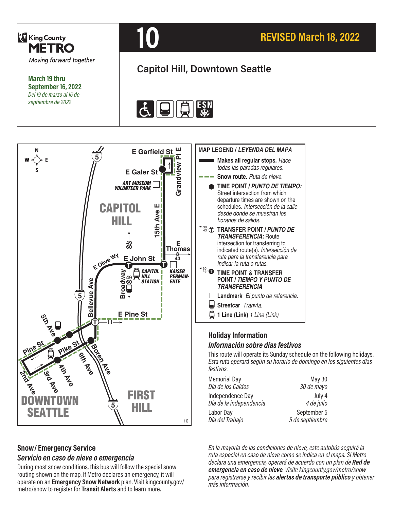

**March 19 thru September 16, 2022** *Del 19 de marzo al 16 de septiembre de 2022*



# **REVISED March 18, 2022**

# **Capitol Hill, Downtown Seattle**





#### **Snow/ Emergency Service**  *Servicio en caso de nieve o emergencia*

During most snow conditions, this bus will follow the special snow routing shown on the map. If Metro declares an emergency, it will operate on an **Emergency Snow Network** plan. Visit kingcounty.gov/ metro/snow to register for **Transit Alerts** and to learn more.



#### **Holiday Information** *Información sobre días festivos*

This route will operate its Sunday schedule on the following holidays. *Esta ruta operará según su horario de domingo en los siguientes días festivos.*

| <b>Memorial Day</b>                         | May 30               |
|---------------------------------------------|----------------------|
| Día de los Caídos                           | 30 de mayo           |
| Independence Day<br>Día de la independencia | July 4<br>4 de julio |
| Labor Day                                   | September 5          |
| Día del Trabajo                             | 5 de septiembre      |

*En la mayoría de las condiciones de nieve, este autobús seguirá la ruta especial en caso de nieve como se indica en el mapa. Si Metro declara una emergencia, operará de acuerdo con un plan de Red de emergencia en caso de nieve. Visite kingcounty.gov/metro/snow para registrarse y recibir las alertas de transporte público y obtener más información.*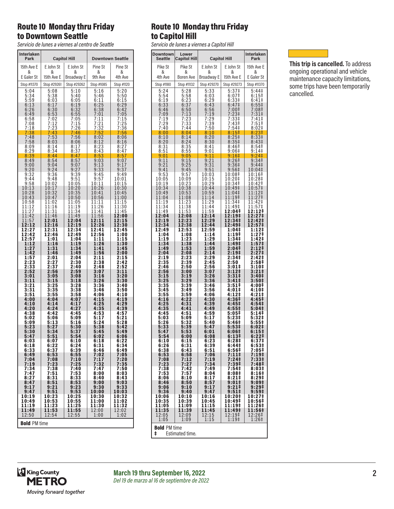#### Route 10 Monday thru Friday to Downtown Seattle

*Servicio de lunes a viernes al centro de Seattle*

| Interlaken<br>Park        | <b>Capitol Hill</b>                                 |                            | <b>Downtown Seattle</b> |                             |
|---------------------------|-----------------------------------------------------|----------------------------|-------------------------|-----------------------------|
| 15th Ave E                | E John St                                           | E John St                  | Pine St                 | Pine St                     |
| &                         | &                                                   | &                          | &                       | &                           |
| E Galer St<br>Stop #11370 | 15th Ave E<br>Stop #29261                           | Broadway E                 | 9th Ave<br>Stop #1085   | 4th Ave                     |
| 5:04                      | 5:08                                                | Stop #29262<br>5:10        | 5:16                    | Stop #1120<br>5:20          |
| 5:34                      | 5:38                                                | 5:40                       | 5:46                    | 5:50                        |
| $5:59$<br>$6:13$          | 6:03<br>6:17                                        | 6:05<br>6:19               | 6:11<br>6:25            | 6:15<br>6:29                |
| 6:26                      | 6:30                                                | 6:32                       | 6:38                    | 6:42                        |
| 6:49<br>6:58              | 6:53<br>7:02                                        | 6:55<br>7:05               | 7:01<br>7:11            | 7:05<br>7:15                |
| 7:08                      | $7:12$<br>$7:23$                                    | 7:15                       | 7:21<br>7:32            | 7:25                        |
| 7:18<br>7:38              | 7:43                                                | 7:26<br>7:46               | 7:52                    | 7:36<br>7:56                |
| 7<br>:48<br>7:58          | 7:53<br>8:03                                        | 7:56<br>8:06               | 8:02<br>8:12            | 8:06<br>8:16                |
| 8:09                      | 8:14                                                | 8:17                       | $\frac{8:23}{8:43}$     | 8:27                        |
| 8:29<br>8:39              | 8:34<br>8:44                                        | 8:37<br>8:47               | 8:53                    | 8:47<br>8:57                |
| 8:49                      | 8:54                                                | 8:57                       | 9:03                    | 9:07                        |
| 9:00<br>9:20              | 9:04<br>9:24                                        | 9:07<br>9:27               | 9:13<br>9:33            | 9:17<br>9:37                |
| 9:32                      | 9:36                                                | 9:39                       | 9:45                    | 9:49                        |
| 9:44<br>9:58              | 9:48<br>10:02                                       | 9:51<br>10:05              | 9:57<br>10:11           | 10:01<br>10:15              |
| 10:13<br>10:28            | 10:17<br>10:32                                      | 10:20<br>10:35             | 10:26<br>10:41          | 10:30<br>10:45              |
| 10:43                     | 10:47                                               | 10:50                      | 10:56                   | 11:00                       |
| 10:58<br>1:12<br>1        | 11:02<br>11:16                                      | 11:05<br>11:19             | 11:11<br>1:26<br>1      | 11:15<br>11:30              |
| 1:27<br>1                 | 11:31                                               | 11:34                      | 11:41                   | 11:45                       |
| 1:42<br>1<br>11:57        | 11:46<br>12:01                                      | 11:49<br>12:04             | 11:56<br>12:11          | 12:00<br>12:15              |
| 12:12                     | 12:16                                               | 12:19                      | 12:26                   | 12:30                       |
| 12:27<br>12:42            | 12:31<br>12:46                                      | 12:34<br>12:49             | 12:41<br>12:56          | 12:45<br>1:00               |
| 12:57<br>1:12             | 1:01<br>1:16                                        | 1:04<br>1:19               | 1:11<br>1:26            | 1:15<br>1:30                |
| 1:27                      | 1:31                                                | 1:34                       | 1:41                    | 1:45                        |
| 1:42<br>1:57              | 1:46<br>2:01                                        | 1:49<br>2:04               | 1:56<br>2:11            | 2:00<br>2:15                |
| 2:23<br>2:33              | 2:27<br>2:37                                        | 2:30<br>2:40               | 2:38<br>2:48            | 2:42<br>2:52                |
| 2:52                      | 2:56                                                | 2:59                       | 3:07                    | 3:11                        |
| 3:01<br>3:11              | 3:05<br>3:15                                        | 3:08<br>3:18               | 3:16<br>3:26            | 3:20<br>3:30                |
| 3:21                      | 3:25                                                | 3:28                       | 3:36                    | 3:40                        |
| 3:31<br>3:51              | 3:35<br>3:55                                        | 3:38<br>3:58               | 3:46<br>4:06            | 3:50<br>4:10                |
| 4:00<br>4:10              | 4:04<br>4:14                                        | 4:07<br>4:17               | 4:15<br>4:25            | 4:19<br>4:29                |
| 4:20                      | 4:24                                                | 4:27                       | 4:35                    | 4:39                        |
| 4:38<br>5:02              | 4:42<br>5:06                                        | 4:45<br>5:09               | 4:53<br>5:17            | 4:57<br>5:21                |
| 5:09                      | 5:13                                                | 5:16                       | 5:24                    | 5:28                        |
| 5:23<br>5:30              | 5:27<br>5:34                                        | 5:30<br>5:37               | 5:38<br>5:45            | 5:42<br>5:49                |
| 5:47<br>6:03              | 5:51<br>6:07                                        | 5:54<br>6:10               | 6:02<br>6:18            | 6:06<br>6:22                |
| 6:18                      |                                                     |                            | 6:31                    | $6:34$<br>$6:49$            |
| 6:33<br>6:49              | $\begin{array}{c} 6:22 \\ 6:37 \\ 6:53 \end{array}$ | $6:24$<br>$6:39$<br>$6:55$ | 6:46<br>7:02            | 7:05                        |
| 7:04                      | 7:08                                                | 7:10                       | 7:17                    | 7:20                        |
| 7:19<br>7:34              | 7:23<br>7:38                                        | 7:25<br>7:40               | 7:32<br>7:47            | 7:35<br>7:50                |
| 7:47<br>8:27              | 7:51<br>8:31                                        | 7:53<br>8:33               | 8:00<br>8:40            | 8:03<br>8:43                |
| 8:47                      | 8:51                                                | 8:53                       | 9:00                    | 9:03                        |
| 9:17<br>9:47              | 9:21<br>9:51                                        | 9:23<br>9:53               | 9:30<br>10:00           | 9:33<br>10:03               |
| 10:19                     | 10:23                                               | 10:25                      | 10:30                   | 10:32                       |
| 10:49<br>11:19            | 10:53<br>11:23                                      | 10:55<br>11:25             | 11:00<br>11:30          | 11:02<br>11:32              |
| 11:49<br>12:50            | 11:53<br>12:54                                      | 11:55<br>12:55             | 12:00<br>1:00           | $\frac{1}{12:02}$<br>$1:02$ |
| <b>Bold PM time</b>       |                                                     |                            |                         |                             |
|                           |                                                     |                            |                         |                             |

## Route 10 Monday thru Friday to Capitol Hill

*Servicio de lunes a viernes a Capitol Hill*

| Downtown<br>Seattle      | Lower<br><b>Capitol Hill</b> |                                              | <b>Capitol Hill</b> | <b>Interlaken</b><br>Park        |
|--------------------------|------------------------------|----------------------------------------------|---------------------|----------------------------------|
| Pike St                  | Pike St                      | E John St                                    | E John St           | 15th Ave E                       |
| &                        | &                            | &                                            | &                   | &                                |
| 4th Ave                  | Boren Ave                    | Broadway E                                   | 15th Ave E          | E Galer St                       |
| Stop #1180               | Stop #11132                  | Stop #29270                                  | Stop #29273         | Stop #11370                      |
| 5:24                     | 5:28                         | 5:33                                         | 5:37‡               | 5:44 <sup>‡</sup>                |
| 5:54                     | 5:58                         | 6:03                                         | 6:07 <sup>‡</sup>   | $6:15+$                          |
| 6:19                     | 6:23                         | 6:29                                         | 6:33‡               | 6:41‡                            |
| 6:33                     | $6:37$<br>$6:50$             | 6:43                                         | 6:47 <sup>‡</sup>   | 6:55‡                            |
| 6:46                     |                              | 6:56                                         | 7:00‡               | 7:08‡                            |
| 7:09                     | 7:13                         | 7:19                                         | 7:23‡               | 7:31‡                            |
| 7:19                     | 7:23                         | 7:29                                         | $7:33+$             | $7:41\pm$                        |
| 7:29                     | 7:33                         | 7:39                                         | 7:43 <sup>‡</sup>   | 7:51‡                            |
| 7:40                     | 7:44                         | <u>7:50</u>                                  | <u>7:54‡</u>        | 8:02‡                            |
| 8:00                     | 8:04                         | 8:10                                         | 8:15#               | 8:23‡                            |
| 8:10                     | 8:14                         | 8:20                                         | 8:25 <sup>‡</sup>   | 8:33‡                            |
| 8:20                     | 8:24                         | 8:30                                         | 8:35‡               | 8:43 <sup>‡</sup>                |
| 8:31                     | 8:35                         | 8:41                                         | 8:46‡               | 8:54 <sup>‡</sup>                |
| 8:51                     | 8:55                         | 9:01                                         | 9:06#               | <u>9:14‡</u>                     |
| 9:01                     | 9:05                         | 9:11                                         | 9:16‡               | 9:24‡                            |
| 9:11                     | 9:15                         | 9:21                                         | 9:26 <sup>‡</sup>   | 9:34‡                            |
| 9:21                     | 9:25                         | 9:31                                         | 9:36‡               | 9:44 <sup>‡</sup>                |
| 9:41                     | 9:45                         | 9:51                                         | 9:56 <sup>‡</sup>   | 10:04‡                           |
| 9:53                     | 9:57                         | 10:03                                        | 10:08‡              | 10:16‡                           |
| 10:05                    | 10:09                        | 10:15                                        | 10:20‡              | 10:28‡                           |
| 10:19                    | 10:23                        | 10:29                                        | 10:34‡              | 10:42‡                           |
| 10:34                    | 10:38                        | 10:44                                        | 10:49‡              | 10:57‡                           |
| 10:49<br>11:04           | 10:53<br>11:08               | 10:59<br>1:14<br>1                           | 11:04‡<br>11:19‡    | 11:12‡<br>11:27‡                 |
| 11:19<br>11:34           | 11:23<br>11:38               | 11:29<br>11:44                               | 11:34‡<br>11:49‡    | 1:42 <sup>‡</sup><br>1<br>11:57‡ |
| 11:49                    | 11:53                        | 1:59<br>1                                    | 12:04‡              | 2:12 <sup>†</sup><br>ı           |
| 12:04                    | 12:08                        | 12:14                                        | 12:19‡              | 12:27‡                           |
| 12:19                    | 12:23                        | 12:29                                        | 12:34‡              | 12:42‡                           |
| 12:34                    | 12:38                        | 12:44                                        | 12:49‡              | 12:57‡                           |
| 12:49                    | 12:53                        | 12:59                                        | 1:04‡               | 1:12‡                            |
| 1:04                     | 1:08                         | 1:14                                         | 1:19‡               | 1:27‡                            |
|                          | 1:23                         | 1:29                                         | 1:34‡               | 1:42‡                            |
| 1:19<br>1:34             | 1:38                         | 1:44                                         | 1:49‡               | 1:57‡                            |
| 1:49                     | 1:53                         | 1:59                                         | 2:04‡               | 2:12‡                            |
| 2:04                     | 2:08                         | 2:14                                         | 2:19‡               | 2:27‡                            |
| 2:19                     | 2:23                         | 2:29                                         | 2:34‡               | 2:42‡                            |
| 2:35                     | 2:39                         | 2:45                                         | 2:50                | 2:58‡                            |
| 2:46                     | 2:50                         | 2:56                                         | 3:01‡               | 3:10‡                            |
| 2:56                     | 3:00                         | 3:07                                         | 3:12‡               | 3:21‡                            |
| 3:15                     | 3:19                         | 3:26                                         | 3:31‡               | 3:40‡                            |
| 3:25                     | 3:29                         | 3:36                                         | 3:41 <sup>‡</sup>   | 3:50‡                            |
| 3:35                     | 3:39                         | 3:46                                         | 3:51‡               | 4:00‡                            |
| 3:45                     | 3:49                         | 3:56                                         | 4:01‡               | 4:10‡                            |
| 3:55                     | 3:59                         | 4:06                                         | 4:12‡               | 4:21‡                            |
| 4:16                     | 4:22                         | 4:30                                         | 4:36‡               | 4:45‡                            |
| 4:25                     | 4:31                         | 4:39                                         | 4:45‡               | 4:54 <sup>‡</sup>                |
| 4:35                     | 4:41                         | 4:49                                         | 4:55‡               | 5:04‡                            |
| 4:45                     | 4:51                         | 4:59                                         | 5:05‡               | 5:14‡                            |
| 5:03                     | 5:09                         | 5:17                                         | 5:23‡               | 5:32‡                            |
| 5:26                     | 5:32                         | 5:40                                         | 5:46‡               | 5:55‡                            |
| 5:33                     | 5:39                         | 5:47                                         | 5:53‡               | 6:02#                            |
| 5:47                     | 5:53<br>6:00                 | 6:01                                         | 6:06‡<br>6:13#      | $6:15+$<br>6:22#                 |
| 5:54<br>6:10             | 6:15                         | $6:08$<br>$6:23$                             | 6:28‡               | 6:37‡                            |
| 6:26                     | 6:31                         | 6:39                                         | 6:44‡               | 6:53‡                            |
| 6:38                     | 6:43                         | 6:51                                         | 6:56‡               | 7:05#                            |
| 6:53                     | 6:58                         | 7:06                                         | 7:11‡               | 7:19‡                            |
| 7:08                     | 7:12                         | 7:19                                         | $7:24+$             | $7:33*$                          |
| 7:23                     | 7:27                         | 7:34                                         | 7:39‡               | 7:48‡                            |
| 7:38                     | 7:42                         | 7:49                                         | 7:54‡               | 8:03‡                            |
| 7:53                     | 7:57                         | 8:04                                         | 8:08‡               | 8:16‡                            |
| 8:06                     | 8:10                         | 8:17                                         | 8:21‡               | 8:29‡                            |
| 8:46                     | 8:50                         | 8:57                                         | $9:01\$             | 9:09‡                            |
| 9:06                     | 9:10                         | 9:17                                         | 9:21‡               | 9:29‡                            |
| 9:36                     | 9:40                         | 9:47                                         | $9:51\ddagger$      | 9:59‡                            |
| 10:06                    | 10:10                        | 10:16                                        | 10:20‡              | 10:27‡                           |
| 10:35                    | 10:39                        | 10:45                                        | 10:49‡              | 10:56‡                           |
| 11:05                    | 11:09                        | 11:15                                        | 11:19‡              | 11:26‡                           |
| 11:35                    | 11:39                        | 11:45                                        | 11:49‡              | 11:56‡                           |
| 12:05                    | 12:09                        | $\begin{array}{c} 12:15 \\ 1:15 \end{array}$ | 12:19‡<br>1:19‡     | 12:26‡                           |
| 1:05                     | 1:09                         |                                              |                     | $1:26+$                          |
| <b>Bold PM time</b><br>ŧ | Estimated time.              |                                              |                     |                                  |



**This trip is cancelled.** To address ongoing operational and vehicle maintenance capacity limitations, some trips have been temporarily cancelled.

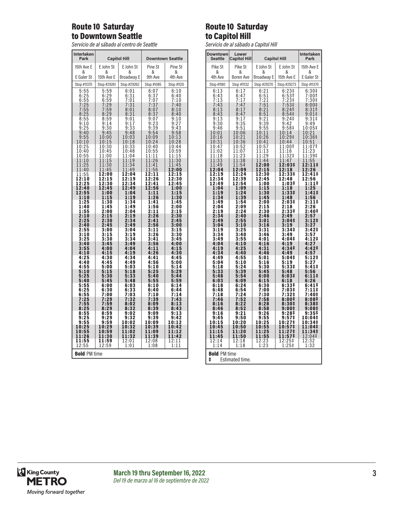## Route 10 Saturday to Downtown Seattle

*Servicio de al sábado al centro de Seattle*

| <b>Interlaken</b><br>Park                                      | <b>Capitol Hill</b>                          |                                                                         | <b>Downtown Seattle</b>                               |                                                                    |
|----------------------------------------------------------------|----------------------------------------------|-------------------------------------------------------------------------|-------------------------------------------------------|--------------------------------------------------------------------|
| 15th Ave E                                                     | E John St                                    | E John St                                                               | Pine St                                               | Pine St                                                            |
| &<br>E Galer St                                                | &<br>15th Ave E                              | &<br>Broadway E                                                         | &<br>9th Ave                                          | &<br>4th Ave                                                       |
| Stop #11370                                                    | Stop #29261                                  | Stop #29262                                                             | Stop #1085                                            | Stop #1120                                                         |
|                                                                | 5:59<br>6:29<br>6:59<br>7:29<br>7:59<br>8:29 | 6:01                                                                    | 6:07                                                  | 6:10                                                               |
| 5:55<br>6:25<br>6:55<br>6:55<br>7:55<br>8:25<br>8:55           |                                              | $6:31$<br>$7:01$<br>$7:31$<br>$2:21$<br>$\frac{7}{7}$ :                 | $6:37$<br>$7:07$<br>$7:37$<br>$8:07$                  | 6:40<br>$7:10$<br>$7:40$                                           |
|                                                                |                                              | 8:01                                                                    |                                                       | 8:10                                                               |
|                                                                |                                              | 8:31<br>9:01                                                            | 8:3<br>7<br>9:07                                      | 8:40<br>9:10                                                       |
| 9:10                                                           | 8:59<br>9:14                                 | $9:17$<br>$9:33$                                                        |                                                       | $9:27$<br>$9:43$                                                   |
| 9:25<br>9:40                                                   | $\frac{9:30}{9:45}$                          | 9:48                                                                    | $9:23$<br>$9:39$<br>$9:54$<br>$10:09$                 |                                                                    |
| $\frac{9:55}{10:10}$                                           | $\frac{10:00}{10:15}$                        | 10:<br>03<br>18<br>10:                                                  | 10:24                                                 | $9:58$<br>$0:13$<br>$\overline{13}$<br>1<br>$\overline{28}$<br>10: |
| 10:25                                                          | 10:30                                        | 10:33                                                                   | 10:40                                                 | 10:44                                                              |
| 10:40                                                          | 10:45<br>11:00                               | 10:48<br>1:04<br>1                                                      | 10:55<br>11:11                                        | 1<br>0:59<br>1:15<br>1                                             |
| $\overline{10:55}$<br>$\overline{11:10}$<br>$\overline{11:25}$ | 11:15<br>11:30                               | $\vdots$<br>1<br>$\overline{1}$<br>9<br>1<br>$\overline{34}$<br>1<br>1: | $\overline{1}$ :<br>$\overline{2}$<br>1<br>6<br>11:41 | $\vdots$<br>30<br>1<br>1<br>11:45                                  |
| 11:40                                                          | 11:45                                        | 1:49<br>1                                                               | 11:56                                                 | 12:00                                                              |
| 11:55<br>$2:10$<br>2:25<br>1                                   | 12:00<br>$\frac{2:15}{2:30}$<br>1            | 12:04<br>$\frac{2:19}{2:34}$<br>1                                       | 12:11<br>$\frac{2:26}{2:41}$<br>1                     | 2:15<br>1<br>$\frac{2:30}{2:45}$<br>1                              |
| 1<br>12:40                                                     | 1<br>12:45                                   | 1<br>12:49                                                              | 1<br>12:56                                            | 1<br>1:00                                                          |
| 12:55<br>1:10                                                  | 1:00<br>1:15                                 | 1:04<br>1:19                                                            | 1:11<br>1:26                                          | 1:15<br>1:30                                                       |
| 1:25                                                           | 1:30                                         | 34<br>1:                                                                | 1:41                                                  | 1:45                                                               |
| 1:40<br>1:55                                                   | 1:45<br>2:00                                 | 1:49<br>2:04                                                            | 1:56<br>2:11                                          | 2:00<br>2:15                                                       |
| 2:10<br>2:25                                                   | 2:15                                         | 2:19<br>$\overline{2:34}$                                               | 2:26<br>2:41                                          | 2:30<br>2:45                                                       |
| 2:40<br>2:55                                                   | $\frac{2:30}{2:45}$<br>3:00                  | 2:49<br>3:04                                                            | 2:56                                                  | 3:00<br>3:15                                                       |
| 3:10                                                           | 3:15                                         | 3:19                                                                    | 3:11<br>3:26                                          | 3:30                                                               |
| 3:25<br>3:40                                                   | 3:30<br>3:45                                 | 3:34<br>3:49                                                            | 3:41<br>3:56                                          | 3:45<br>4:00                                                       |
| 3:55<br>4:10                                                   | 4:00<br>4:15                                 | 4:04<br>4:19                                                            | 4:11<br>4:26                                          | 4:15<br>4:30                                                       |
| 4:25                                                           | 4:30                                         | 4:34                                                                    | 4:41                                                  | 4:45                                                               |
| 4:40<br>4:55                                                   | 4:45<br>5:00                                 | 4:49<br>5:03                                                            | 4:56<br>5:10                                          | 5:00<br>5:14                                                       |
| 5:10<br>5:25                                                   | 5:15<br>5:30                                 | 5:18<br>5:33                                                            | 5:25<br>5:40                                          | 5:29<br>5:44                                                       |
| 5:40<br>5:55                                                   | 5:45<br>6:00                                 | 5:48<br>6:03                                                            | 5:55<br>6:10                                          | 5:59<br>6:14                                                       |
| $6:25$<br>$6:55$<br>$7:25$<br>$7:55$                           | :30<br>6                                     | 6:33                                                                    | 6:40                                                  | 6:44                                                               |
|                                                                | $\overline{100}$<br>7<br>:29<br>7            | 7:03<br>7:32                                                            | 7:10<br>7:39                                          | 7:14<br>7:43                                                       |
| 8:25                                                           | 7<br>:59<br>8:29                             | 8:02<br>8:32                                                            | 8:09<br>8:39                                          | 8:13<br>8:43                                                       |
| 8:55<br>9:25                                                   | 8:59<br>9:29                                 | 9:02                                                                    | 9:09                                                  | 9:13                                                               |
| $\frac{9:55}{10:25}$                                           | $9:59$<br>$0:29$                             | 9:32<br>10:02                                                           | 9:39<br>10:09                                         | 9:42<br>10:12                                                      |
| 10:55                                                          | 1<br>0:59<br>1                               | 0:3<br>$\overline{2}$<br>1<br>1:02<br>1                                 | 0:39<br>1<br>1:09<br>1                                | 10:42<br>11:12                                                     |
| 11:26<br>11:55                                                 | 1:30<br>1<br>11:59                           | 11:32                                                                   | 11:39<br>12:08                                        | 11:42                                                              |
| 2:55<br>1                                                      | 12:59                                        | $\begin{array}{c} 12:01 \\ 1:01 \end{array}$                            | 1:08                                                  | $\overline{\begin{smallmatrix} 1&2&1&1\ 1&1&1 \end{smallmatrix}}$  |
| <b>Bold PM time</b>                                            |                                              |                                                                         |                                                       |                                                                    |

### Route 10 Saturday to Capitol Hill

*Servicio de al sábado a Capitol Hill*

| <b>Downtown</b><br><b>Seattle</b>    | Lower<br>Capitol Hill                                | <b>Interlaken</b><br><b>Capitol Hill</b><br>Park |                                          |                                  |
|--------------------------------------|------------------------------------------------------|--------------------------------------------------|------------------------------------------|----------------------------------|
| Pike St                              | Pike St                                              | E John St                                        | E John St                                | 15th Ave E                       |
| &                                    | &                                                    | &                                                | &                                        | &                                |
| 4th Ave<br>Stop #1180                | <b>Boren Ave</b><br>Stop #11132                      | <b>Broadway E</b><br>Stop #29270                 | 15th Ave E<br>Stop #29273                | E Galer St<br>Stop #11370        |
| 6:13                                 | 6:17                                                 | 6:21                                             |                                          | 6:30 <sup>‡</sup>                |
| 6:43                                 | 6:47                                                 | $0.21$<br>$7:21$<br>$7:51$<br>$8:21$             | $6:23‡$<br>6:53‡                         | $7:00$ ‡                         |
|                                      |                                                      |                                                  | $7:23$<br>$7:53$<br>$8:24$               | $7:30‡$<br>8:00‡                 |
| $7:13$<br>$7:43$<br>$8:13$<br>$8:43$ | $7:17$<br>$7:47$<br>$8:17$<br>$8:47$                 |                                                  | 8:54 <sup>‡</sup>                        | $8:31$<br>9:01#                  |
| 9:13                                 | 9:17                                                 | $\frac{8:51}{9:21}$                              | 9:24<br>9:42                             | 9:31‡<br>9:49                    |
| $9:30$<br>$9:46$                     | $\begin{array}{c} 9:35 \\ 9:51 \\ 10:06 \end{array}$ |                                                  |                                          | 10:05‡                           |
| 10:01<br>10:16                       | 10:21<br>10:36                                       | $9:39$<br>$9:55$<br>$10:11$<br>$10:26$           | $9:58$ ‡<br>10:14<br>10:29               | $\frac{10:21}{10:36}$            |
| 10:31<br>10:47                       | 10:52                                                | 10:41<br>10:57                                   | 10:44<br>11:00‡                          | 10:51<br>11:07‡                  |
| 11:02                                | $1:07$<br>$1:23$<br>$1:38$<br>1                      | īĭ:ī3                                            | 11:16<br>$1:32+$                         | $\frac{11:23}{11:39}$            |
| $\frac{1:18}{1:33}$<br>1<br>1        | 1<br>1                                               | $1\overline{1}$ :2<br>9<br>11:44                 | 1<br>11:47                               | 11:55                            |
| 11:49<br>12:04                       | 1:54<br>$\overline{1}$<br>12:09                      | 12:00<br>12:15                                   | 12:03‡<br>12:18                          | 12:11‡<br>12:26                  |
| 12:19<br>12:34<br>12:49              | 12:24                                                | 12:30<br>12:45                                   | $\overline{12:331}$<br>$12:48$           | 12:41‡<br>2:56<br>1              |
|                                      | 12:39<br>12:54                                       | 1:00                                             | 1:03‡                                    | 1:11‡                            |
| 1:04<br>1:19                         | 1:09<br>1:24                                         | 1:15<br>1:30                                     | 1:18<br>1:33 <sup>‡</sup>                | 1:25<br>1:41 <sup>‡</sup>        |
| 1:34<br>1:49                         | 1:39<br>1:54                                         | 1:45<br>2:00                                     | 1:48<br>2:03‡                            | 1:56<br>2:11‡                    |
| 2:04                                 | 2:09                                                 | $\overline{2:}15$                                | $\frac{2:18}{2:33}$                      | $\overline{2:26}$                |
| 2:19<br>2:34                         | 2:24<br>2:40                                         | 2:30<br>2:46                                     | 2:49                                     | 2:40‡<br>2:57                    |
| 2:49<br>3:04                         | 2:55<br>3:10                                         | $\frac{1}{3:01}$<br>$3:16$                       | 3:04‡<br>3:19                            | $3:12+$<br>$3:27$                |
| $3:19$<br>$3:34$                     | $\frac{1}{3:25}$<br>3:40                             | $\frac{3:31}{3:46}$                              | $3:34‡$<br>3:49                          | $\frac{1}{3:42}$<br>3:57         |
| 3:49                                 | 3:55                                                 | 4:01                                             | 4:04‡                                    | 4:12‡                            |
| 4:04<br>4:19                         | 4:10<br>4:25                                         | 4:16<br>4:31                                     | 4:19<br>4:34‡                            | 4:27<br>4:42‡                    |
| 4:34<br>4:49                         | 4:40<br>4:55                                         | 4:46<br>5:01                                     | 4:49<br>5:04‡                            | 4:57<br>5:12‡                    |
| 5:04                                 | 5:10                                                 | 5:16                                             | 5:19                                     | 5:27                             |
| 5:18<br>5:33                         | 5:24<br>5:39                                         | 5:30<br>5:45                                     | 5:331<br>5:48                            | 5:41‡<br>5:56                    |
| 5:48<br>6:03                         | 5:54<br>6:09                                         | 6:00<br>6:15                                     | 6:03‡<br>6:18                            | 6:11‡<br>6:26                    |
| 6:18                                 | 6:24                                                 | 6:30                                             | 6:33‡                                    | $6:41\pm$                        |
| 6:48<br>7:18                         | 6:54<br>7:24                                         | 7:00<br>7:30                                     | 7:03‡<br>7:32‡                           | 7:11‡<br>7:40‡                   |
| 7:46<br>8:16                         | 7:52<br>8:22                                         | 7:58<br>8:28                                     | 8:00‡<br>8:30‡                           | 8:08‡<br>8:38 <sup>‡</sup>       |
| 8:46                                 | 8:52                                                 | 8:58                                             | 9:00‡                                    | 9:08‡                            |
| 9:16<br>9:45                         | 9:21<br>9:50                                         | 9:26<br>9:55                                     | 9:28‡<br>9:57‡                           | 9:35‡<br>10:04‡                  |
| 10:15<br>10:45                       | 10:20                                                | 10:25                                            | 10:27‡<br>7‡                             | 10:34‡<br>1:04 <sup>‡</sup><br>1 |
| 11:15<br>11:45                       | 10:50<br>11:20<br>11:50                              | 10:55<br>11:25<br>11:55                          | 10:5<br>11:2<br>7 <sup>†</sup><br>11:57‡ | $1:34+$<br>1<br>12:04‡           |
| 12:14                                | 12:18                                                | 12:23                                            | $12:25+$<br>$1:25+$                      | 12:32                            |
| 1:23<br>1:32<br>1:14<br>1:18         |                                                      |                                                  |                                          |                                  |
| <b>Bold PM time</b><br>ŧ             | Estimated time.                                      |                                                  |                                          |                                  |